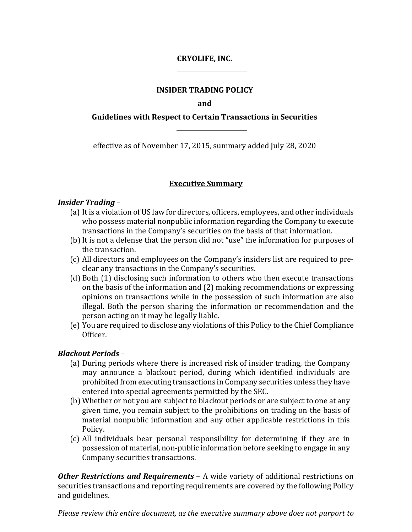# **CRYOLIFE, INC.**

## **INSIDER TRADING POLICY**

**and**

# **Guidelines with Respect to Certain Transactions in Securities**

effective as of November 17, 2015, summary added July 28, 2020

# **Executive Summary**

### *Insider Trading* –

- (a) It is a violation of US law for directors, officers, employees, and other individuals who possess material nonpublic information regarding the Company to execute transactions in the Company's securities on the basis of that information.
- (b) It is not a defense that the person did not "use" the information for purposes of the transaction.
- (c) All directors and employees on the Company's insiders list are required to preclear any transactions in the Company's securities.
- (d) Both (1) disclosing such information to others who then execute transactions on the basis of the information and (2) making recommendations or expressing opinions on transactions while in the possession of such information are also illegal. Both the person sharing the information or recommendation and the person acting on it may be legally liable.
- (e) You are required to disclose any violations of this Policy to the Chief Compliance Officer.

# *Blackout Periods* –

- (a) During periods where there is increased risk of insider trading, the Company may announce a blackout period, during which identified individuals are prohibited from executing transactions in Company securities unless they have entered into special agreements permitted by the SEC.
- (b) Whether or not you are subject to blackout periods or are subject to one at any given time, you remain subject to the prohibitions on trading on the basis of material nonpublic information and any other applicable restrictions in this Policy.
- (c) All individuals bear personal responsibility for determining if they are in possession of material, non-public information before seeking to engage in any Company securities transactions.

*Other Restrictions and Requirements* – A wide variety of additional restrictions on securities transactions and reporting requirements are covered by the following Policy and guidelines.

*Please review this entire document, as the executive summary above does not purport to*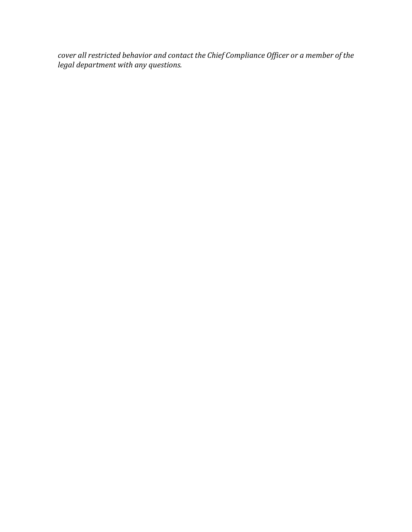*cover all restricted behavior and contact the Chief Compliance Officer or a member of the legal department with any questions.*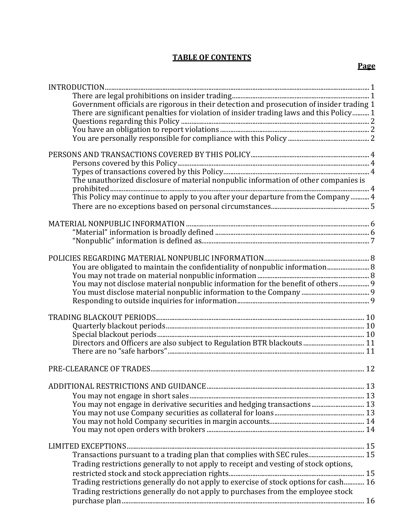# **TABLE OF CONTENTS**

|--|

| $\bf INTRODUCTION. 12221. 2011. 2011. 2011. 2011. 2011. 2011. 2011. 2011. 2011. 2011. 2011. 2011. 2011. 2011. 2011. 2011. 2011. 2011. 2011. 2011. 2011. 2011. 2011. 2011. 2011. 2011. 2011. 2011. 2011. 2011. 2011. 2011. 2011. 2011. 201$ |  |
|--------------------------------------------------------------------------------------------------------------------------------------------------------------------------------------------------------------------------------------------|--|
|                                                                                                                                                                                                                                            |  |
| Government officials are rigorous in their detection and prosecution of insider trading 1                                                                                                                                                  |  |
| There are significant penalties for violation of insider trading laws and this Policy 1                                                                                                                                                    |  |
|                                                                                                                                                                                                                                            |  |
|                                                                                                                                                                                                                                            |  |
|                                                                                                                                                                                                                                            |  |
|                                                                                                                                                                                                                                            |  |
|                                                                                                                                                                                                                                            |  |
|                                                                                                                                                                                                                                            |  |
|                                                                                                                                                                                                                                            |  |
| The unauthorized disclosure of material nonpublic information of other companies is                                                                                                                                                        |  |
|                                                                                                                                                                                                                                            |  |
| This Policy may continue to apply to you after your departure from the Company  4                                                                                                                                                          |  |
|                                                                                                                                                                                                                                            |  |
|                                                                                                                                                                                                                                            |  |
|                                                                                                                                                                                                                                            |  |
|                                                                                                                                                                                                                                            |  |
|                                                                                                                                                                                                                                            |  |
|                                                                                                                                                                                                                                            |  |
| You are obligated to maintain the confidentiality of nonpublic information 8                                                                                                                                                               |  |
|                                                                                                                                                                                                                                            |  |
| You may not disclose material nonpublic information for the benefit of others 9                                                                                                                                                            |  |
|                                                                                                                                                                                                                                            |  |
|                                                                                                                                                                                                                                            |  |
|                                                                                                                                                                                                                                            |  |
|                                                                                                                                                                                                                                            |  |
|                                                                                                                                                                                                                                            |  |
|                                                                                                                                                                                                                                            |  |
|                                                                                                                                                                                                                                            |  |
|                                                                                                                                                                                                                                            |  |
|                                                                                                                                                                                                                                            |  |
|                                                                                                                                                                                                                                            |  |
|                                                                                                                                                                                                                                            |  |
|                                                                                                                                                                                                                                            |  |
|                                                                                                                                                                                                                                            |  |
| You may not engage in derivative securities and hedging transactions  13                                                                                                                                                                   |  |
|                                                                                                                                                                                                                                            |  |
|                                                                                                                                                                                                                                            |  |
|                                                                                                                                                                                                                                            |  |
|                                                                                                                                                                                                                                            |  |
| Transactions pursuant to a trading plan that complies with SEC rules 15                                                                                                                                                                    |  |
|                                                                                                                                                                                                                                            |  |
| Trading restrictions generally to not apply to receipt and vesting of stock options,                                                                                                                                                       |  |
|                                                                                                                                                                                                                                            |  |
| Trading restrictions generally do not apply to exercise of stock options for cash 16                                                                                                                                                       |  |
| Trading restrictions generally do not apply to purchases from the employee stock                                                                                                                                                           |  |
|                                                                                                                                                                                                                                            |  |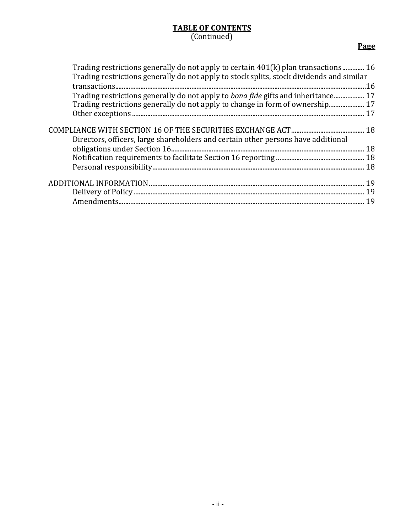# **TABLE OF CONTENTS** (Continued)

# **Page**

| Trading restrictions generally do not apply to certain 401(k) plan transactions 16<br>Trading restrictions generally do not apply to stock splits, stock dividends and similar |  |
|--------------------------------------------------------------------------------------------------------------------------------------------------------------------------------|--|
| Trading restrictions generally do not apply to <i>bona fide</i> gifts and inheritance 17                                                                                       |  |
| Trading restrictions generally do not apply to change in form of ownership 17                                                                                                  |  |
|                                                                                                                                                                                |  |
| Directors, officers, large shareholders and certain other persons have additional                                                                                              |  |
|                                                                                                                                                                                |  |
|                                                                                                                                                                                |  |
|                                                                                                                                                                                |  |
|                                                                                                                                                                                |  |
|                                                                                                                                                                                |  |
|                                                                                                                                                                                |  |
|                                                                                                                                                                                |  |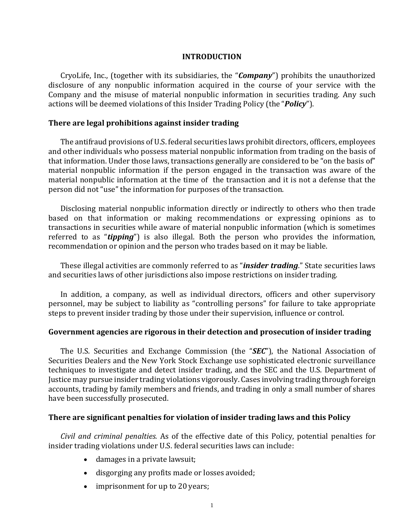### **INTRODUCTION**

<span id="page-4-0"></span>CryoLife, Inc., (together with its subsidiaries, the "*Company*") prohibits the unauthorized disclosure of any nonpublic information acquired in the course of your service with the Company and the misuse of material nonpublic information in securities trading. Any such actions will be deemed violations of this Insider Trading Policy (the "*Policy*").

### **There are legal prohibitions against insider trading**

The antifraud provisions of U.S. federal securities laws prohibit directors, officers, employees and other individuals who possess material nonpublic information from trading on the basis of that information. Under those laws, transactions generally are considered to be "on the basis of" material nonpublic information if the person engaged in the transaction was aware of the material nonpublic information at the time of the transaction and it is not a defense that the person did not "use" the information for purposes of the transaction.

Disclosing material nonpublic information directly or indirectly to others who then trade based on that information or making recommendations or expressing opinions as to transactions in securities while aware of material nonpublic information (which is sometimes referred to as "*tipping*") is also illegal. Both the person who provides the information, recommendation or opinion and the person who trades based on it may be liable.

These illegal activities are commonly referred to as "*insider trading*." State securities laws and securities laws of other jurisdictions also impose restrictions on insider trading.

In addition, a company, as well as individual directors, officers and other supervisory personnel, may be subject to liability as "controlling persons" for failure to take appropriate steps to prevent insider trading by those under their supervision, influence or control.

### **Government agencies are rigorous in their detection and prosecution of insider trading**

The U.S. Securities and Exchange Commission (the "*SEC*"), the National Association of Securities Dealers and the New York Stock Exchange use sophisticated electronic surveillance techniques to investigate and detect insider trading, and the SEC and the U.S. Department of Justice may pursue insider trading violations vigorously. Cases involving trading through foreign accounts, trading by family members and friends, and trading in only a small number of shares have been successfully prosecuted.

### <span id="page-4-1"></span>**There are significant penalties for violation of insider trading laws and this Policy**

*Civil and criminal penalties.* As of the effective date of this Policy, potential penalties for insider trading violations under U.S. federal securities laws can include:

- damages in a private lawsuit;
- disgorging any profits made or losses avoided;
- imprisonment for up to 20 years;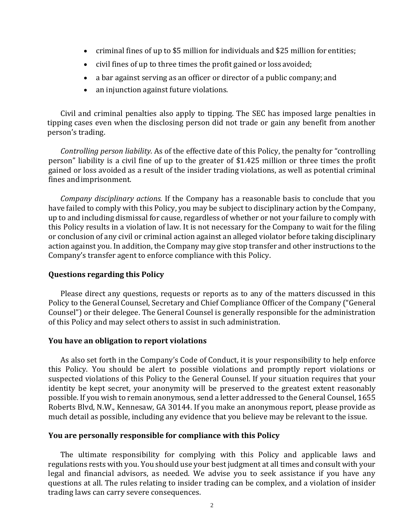- criminal fines of up to \$5 million for individuals and \$25 million for entities;
- civil fines of up to three times the profit gained or loss avoided;
- a bar against serving as an officer or director of a public company; and
- an injunction against future violations.

Civil and criminal penalties also apply to tipping. The SEC has imposed large penalties in tipping cases even when the disclosing person did not trade or gain any benefit from another person's trading.

*Controlling person liability.* As of the effective date of this Policy, the penalty for "controlling person" liability is a civil fine of up to the greater of \$1.425 million or three times the profit gained or loss avoided as a result of the insider trading violations, as well as potential criminal fines andimprisonment.

*Company disciplinary actions.* If the Company has a reasonable basis to conclude that you have failed to comply with this Policy, you may be subject to disciplinary action by the Company, up to and including dismissal for cause, regardless of whether or not your failure to comply with this Policy results in a violation of law. It is not necessary for the Company to wait for the filing or conclusion of any civil or criminal action against an alleged violator before taking disciplinary action against you. In addition, the Company may give stop transfer and other instructions to the Company's transfer agent to enforce compliance with this Policy.

#### <span id="page-5-0"></span>**Questions regarding this Policy**

Please direct any questions, requests or reports as to any of the matters discussed in this Policy to the General Counsel, Secretary and Chief Compliance Officer of the Company ("General Counsel") or their delegee. The General Counsel is generally responsible for the administration of this Policy and may select others to assist in such administration.

#### <span id="page-5-1"></span>**You have an obligation to report violations**

As also set forth in the Company's Code of Conduct, it is your responsibility to help enforce this Policy. You should be alert to possible violations and promptly report violations or suspected violations of this Policy to the General Counsel. If your situation requires that your identity be kept secret, your anonymity will be preserved to the greatest extent reasonably possible. If you wish to remain anonymous, send a letter addressed to the General Counsel, 1655 Roberts Blvd, N.W., Kennesaw, GA 30144. If you make an anonymous report, please provide as much detail as possible, including any evidence that you believe may be relevant to the issue.

#### <span id="page-5-2"></span>**You are personally responsible for compliance with this Policy**

The ultimate responsibility for complying with this Policy and applicable laws and regulations rests with you. You should use your best judgment at all times and consult with your legal and financial advisors, as needed. We advise you to seek assistance if you have any questions at all. The rules relating to insider trading can be complex, and a violation of insider trading laws can carry severe consequences.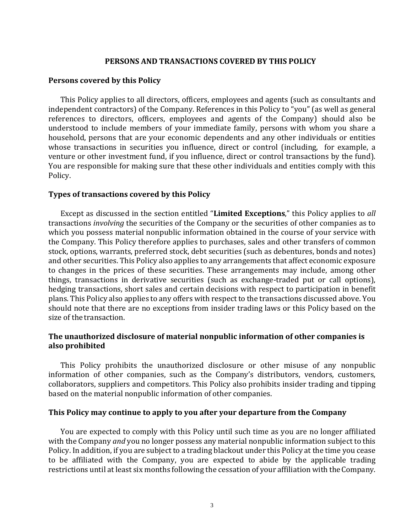### **PERSONS AND TRANSACTIONS COVERED BY THIS POLICY**

### <span id="page-6-1"></span><span id="page-6-0"></span>**Persons covered by this Policy**

This Policy applies to all directors, officers, employees and agents (such as consultants and independent contractors) of the Company. References in this Policy to "you" (as well as general references to directors, officers, employees and agents of the Company) should also be understood to include members of your immediate family, persons with whom you share a household, persons that are your economic dependents and any other individuals or entities whose transactions in securities you influence, direct or control (including, for example, a venture or other investment fund, if you influence, direct or control transactions by the fund). You are responsible for making sure that these other individuals and entities comply with this Policy.

### <span id="page-6-2"></span>**Types of transactions covered by this Policy**

Except as discussed in the section entitled "**Limited Exceptions**," this Policy applies to *all*  transactions *involving* the securities of the Company or the securities of other companies as to which you possess material nonpublic information obtained in the course of your service with the Company. This Policy therefore applies to purchases, sales and other transfers of common stock, options, warrants, preferred stock, debt securities (such as debentures, bonds and notes) and other securities. This Policy also applies to any arrangements that affect economic exposure to changes in the prices of these securities. These arrangements may include, among other things, transactions in derivative securities (such as exchange-traded put or call options), hedging transactions, short sales and certain decisions with respect to participation in benefit plans. This Policy also applies to any offers with respect to the transactions discussed above. You should note that there are no exceptions from insider trading laws or this Policy based on the size of the transaction.

# **The unauthorized disclosure of material nonpublic information of other companies is also prohibited**

This Policy prohibits the unauthorized disclosure or other misuse of any nonpublic information of other companies, such as the Company's distributors, vendors, customers, collaborators, suppliers and competitors. This Policy also prohibits insider trading and tipping based on the material nonpublic information of other companies.

### <span id="page-6-3"></span>**This Policy may continue to apply to you after your departure from the Company**

You are expected to comply with this Policy until such time as you are no longer affiliated with the Company *and* you no longer possess any material nonpublic information subject to this Policy. In addition, if you are subject to a trading blackout under this Policy at the time you cease to be affiliated with the Company, you are expected to abide by the applicable trading restrictions until at least six months following the cessation of your affiliation with theCompany.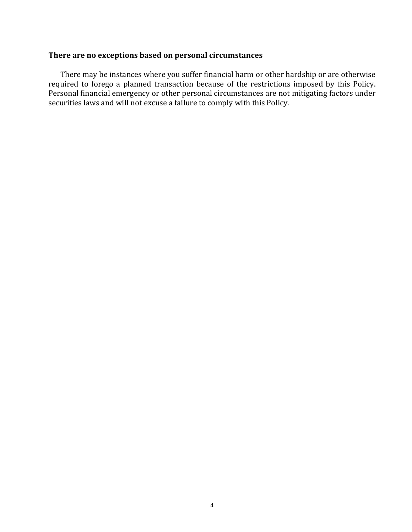# <span id="page-7-0"></span>**There are no exceptions based on personal circumstances**

There may be instances where you suffer financial harm or other hardship or are otherwise required to forego a planned transaction because of the restrictions imposed by this Policy. Personal financial emergency or other personal circumstances are not mitigating factors under securities laws and will not excuse a failure to comply with this Policy.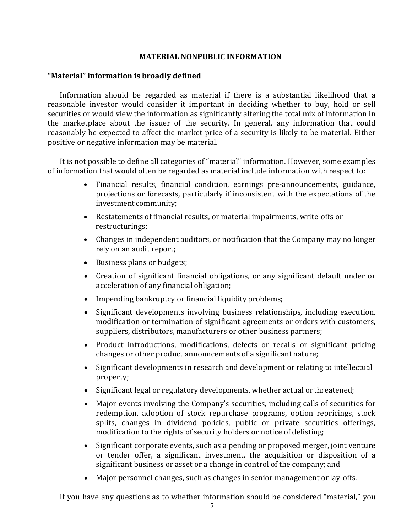### **MATERIAL NONPUBLIC INFORMATION**

### <span id="page-8-1"></span><span id="page-8-0"></span>**"Material" information is broadly defined**

Information should be regarded as material if there is a substantial likelihood that a reasonable investor would consider it important in deciding whether to buy, hold or sell securities or would view the information as significantly altering the total mix of information in the marketplace about the issuer of the security. In general, any information that could reasonably be expected to affect the market price of a security is likely to be material. Either positive or negative information may be material.

It is not possible to define all categories of "material" information. However, some examples of information that would often be regarded as material include information with respect to:

- Financial results, financial condition, earnings pre-announcements, guidance, projections or forecasts, particularly if inconsistent with the expectations of the investment community;
- Restatements of financial results, or material impairments, write-offs or restructurings;
- Changes in independent auditors, or notification that the Company may no longer rely on an audit report;
- Business plans or budgets;
- Creation of significant financial obligations, or any significant default under or acceleration of any financial obligation;
- Impending bankruptcy or financial liquidity problems;
- Significant developments involving business relationships, including execution, modification or termination of significant agreements or orders with customers, suppliers, distributors, manufacturers or other business partners;
- Product introductions, modifications, defects or recalls or significant pricing changes or other product announcements of a significant nature;
- Significant developments in research and development or relating to intellectual property;
- Significant legal or regulatory developments, whether actual or threatened;
- Major events involving the Company's securities, including calls of securities for redemption, adoption of stock repurchase programs, option repricings, stock splits, changes in dividend policies, public or private securities offerings, modification to the rights of security holders or notice of delisting;
- Significant corporate events, such as a pending or proposed merger, joint venture or tender offer, a significant investment, the acquisition or disposition of a significant business or asset or a change in control of the company; and
- Major personnel changes, such as changes in senior management or lay-offs.

If you have any questions as to whether information should be considered "material," you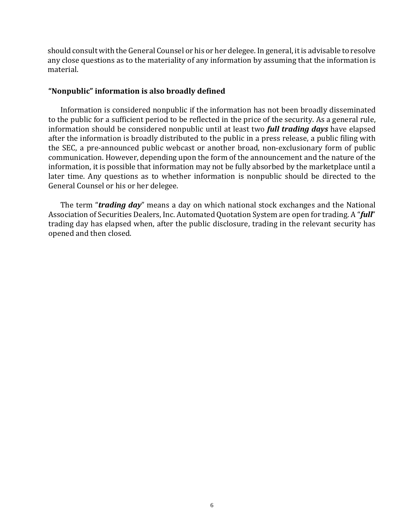should consult with the General Counsel or his or her delegee. In general, it is advisable to resolve any close questions as to the materiality of any information by assuming that the information is material.

### **"Nonpublic" information is also broadly defined**

Information is considered nonpublic if the information has not been broadly disseminated to the public for a sufficient period to be reflected in the price of the security. As a general rule, information should be considered nonpublic until at least two *full trading days* have elapsed after the information is broadly distributed to the public in a press release, a public filing with the SEC, a pre-announced public webcast or another broad, non-exclusionary form of public communication. However, depending upon the form of the announcement and the nature of the information, it is possible that information may not be fully absorbed by the marketplace until a later time. Any questions as to whether information is nonpublic should be directed to the General Counsel or his or her delegee.

The term "*trading day*" means a day on which national stock exchanges and the National Association of Securities Dealers, Inc. Automated Quotation System are open for trading. A "*full*" trading day has elapsed when, after the public disclosure, trading in the relevant security has opened and then closed.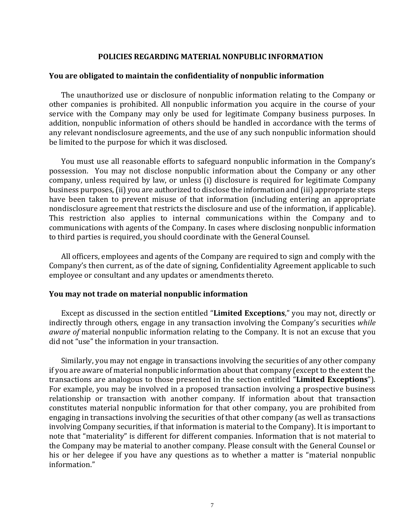### **POLICIES REGARDING MATERIAL NONPUBLIC INFORMATION**

#### <span id="page-10-1"></span><span id="page-10-0"></span>**You are obligated to maintain the confidentiality of nonpublic information**

The unauthorized use or disclosure of nonpublic information relating to the Company or other companies is prohibited. All nonpublic information you acquire in the course of your service with the Company may only be used for legitimate Company business purposes. In addition, nonpublic information of others should be handled in accordance with the terms of any relevant nondisclosure agreements, and the use of any such nonpublic information should be limited to the purpose for which it was disclosed.

You must use all reasonable efforts to safeguard nonpublic information in the Company's possession. You may not disclose nonpublic information about the Company or any other company, unless required by law, or unless (i) disclosure is required for legitimate Company business purposes, (ii) you are authorized to disclose the information and (iii) appropriate steps have been taken to prevent misuse of that information (including entering an appropriate nondisclosure agreement that restricts the disclosure and use of the information, if applicable). This restriction also applies to internal communications within the Company and to communications with agents of the Company. In cases where disclosing nonpublic information to third parties is required, you should coordinate with the GeneralCounsel.

All officers, employees and agents of the Company are required to sign and comply with the Company's then current, as of the date of signing, Confidentiality Agreement applicable to such employee or consultant and any updates or amendments thereto.

#### <span id="page-10-2"></span>**You may not trade on material nonpublic information**

Except as discussed in the section entitled "**Limited Exceptions**," you may not, directly or indirectly through others, engage in any transaction involving the Company's securities *while aware of* material nonpublic information relating to the Company. It is not an excuse that you did not "use" the information in your transaction.

Similarly, you may not engage in transactions involving the securities of any other company if you are aware of material nonpublic information about that company (except to the extent the transactions are analogous to those presented in the section entitled "**Limited Exceptions**"). For example, you may be involved in a proposed transaction involving a prospective business relationship or transaction with another company. If information about that transaction constitutes material nonpublic information for that other company, you are prohibited from engaging in transactions involving the securities of that other company (as well as transactions involving Company securities, if that information is material to the Company). It is important to note that "materiality" is different for different companies. Information that is not material to the Company may be material to another company. Please consult with the General Counsel or his or her delegee if you have any questions as to whether a matter is "material nonpublic information."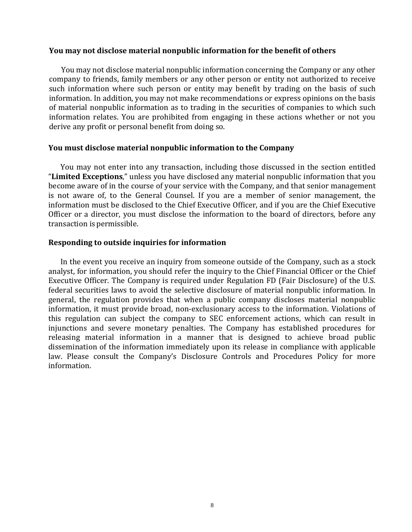### <span id="page-11-0"></span>**You may not disclose material nonpublic information for the benefit of others**

You may not disclose material nonpublic information concerning the Company or any other company to friends, family members or any other person or entity not authorized to receive such information where such person or entity may benefit by trading on the basis of such information. In addition, you may not make recommendations or express opinions on the basis of material nonpublic information as to trading in the securities of companies to which such information relates. You are prohibited from engaging in these actions whether or not you derive any profit or personal benefit from doing so.

### <span id="page-11-1"></span>**You must disclose material nonpublic information to the Company**

You may not enter into any transaction, including those discussed in the section entitled "**Limited Exceptions**," unless you have disclosed any material nonpublic information that you become aware of in the course of your service with the Company, and that senior management is not aware of, to the General Counsel. If you are a member of senior management, the information must be disclosed to the Chief Executive Officer, and if you are the Chief Executive Officer or a director, you must disclose the information to the board of directors, before any transaction is permissible.

### <span id="page-11-2"></span>**Responding to outside inquiries for information**

In the event you receive an inquiry from someone outside of the Company, such as a stock analyst, for information, you should refer the inquiry to the Chief Financial Officer or the Chief Executive Officer. The Company is required under Regulation FD (Fair Disclosure) of the U.S. federal securities laws to avoid the selective disclosure of material nonpublic information. In general, the regulation provides that when a public company discloses material nonpublic information, it must provide broad, non-exclusionary access to the information. Violations of this regulation can subject the company to SEC enforcement actions, which can result in injunctions and severe monetary penalties. The Company has established procedures for releasing material information in a manner that is designed to achieve broad public dissemination of the information immediately upon its release in compliance with applicable law. Please consult the Company's Disclosure Controls and Procedures Policy for more information.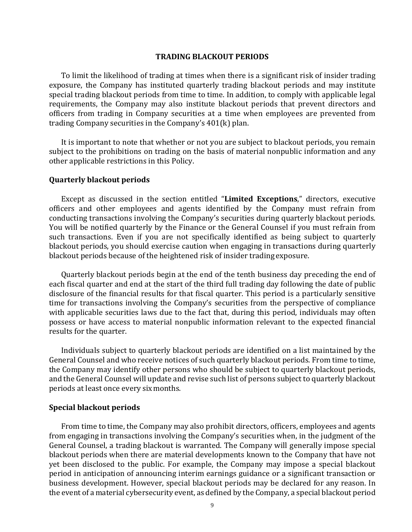#### **TRADING BLACKOUT PERIODS**

<span id="page-12-0"></span>To limit the likelihood of trading at times when there is a significant risk of insider trading exposure, the Company has instituted quarterly trading blackout periods and may institute special trading blackout periods from time to time. In addition, to comply with applicable legal requirements, the Company may also institute blackout periods that prevent directors and officers from trading in Company securities at a time when employees are prevented from trading Company securities in the Company's 401(k) plan.

It is important to note that whether or not you are subject to blackout periods, you remain subject to the prohibitions on trading on the basis of material nonpublic information and any other applicable restrictions in this Policy.

#### <span id="page-12-1"></span>**Quarterly blackout periods**

Except as discussed in the section entitled "**Limited Exceptions**," directors, executive officers and other employees and agents identified by the Company must refrain from conducting transactions involving the Company's securities during quarterly blackout periods. You will be notified quarterly by the Finance or the General Counsel if you must refrain from such transactions. Even if you are not specifically identified as being subject to quarterly blackout periods, you should exercise caution when engaging in transactions during quarterly blackout periods because of the heightened risk of insider trading exposure.

Quarterly blackout periods begin at the end of the tenth business day preceding the end of each fiscal quarter and end at the start of the third full trading day following the date of public disclosure of the financial results for that fiscal quarter. This period is a particularly sensitive time for transactions involving the Company's securities from the perspective of compliance with applicable securities laws due to the fact that, during this period, individuals may often possess or have access to material nonpublic information relevant to the expected financial results for the quarter.

Individuals subject to quarterly blackout periods are identified on a list maintained by the General Counsel and who receive notices of such quarterly blackout periods. From time to time, the Company may identify other persons who should be subject to quarterly blackout periods, and the General Counsel will update and revise such list of persons subject to quarterly blackout periods at least once every sixmonths.

#### <span id="page-12-2"></span>**Special blackout periods**

From time to time, the Company may also prohibit directors, officers, employees and agents from engaging in transactions involving the Company's securities when, in the judgment of the General Counsel, a trading blackout is warranted. The Company will generally impose special blackout periods when there are material developments known to the Company that have not yet been disclosed to the public. For example, the Company may impose a special blackout period in anticipation of announcing interim earnings guidance or a significant transaction or business development. However, special blackout periods may be declared for any reason. In the event of a material cybersecurity event, as defined by the Company, a special blackout period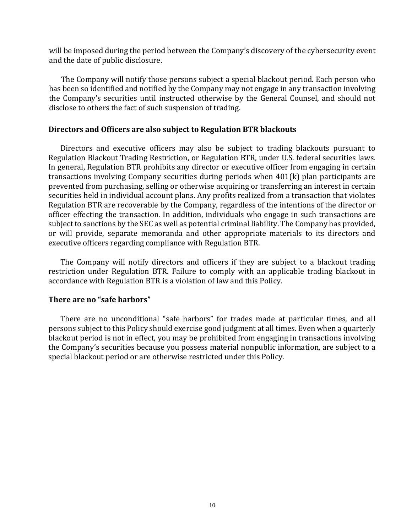will be imposed during the period between the Company's discovery of the cybersecurity event and the date of public disclosure.

The Company will notify those persons subject a special blackout period. Each person who has been so identified and notified by the Company may not engage in any transaction involving the Company's securities until instructed otherwise by the General Counsel, and should not disclose to others the fact of such suspension of trading.

#### <span id="page-13-0"></span>**Directors and Officers are also subject to Regulation BTR blackouts**

Directors and executive officers may also be subject to trading blackouts pursuant to Regulation Blackout Trading Restriction, or Regulation BTR, under U.S. federal securities laws. In general, Regulation BTR prohibits any director or executive officer from engaging in certain transactions involving Company securities during periods when 401(k) plan participants are prevented from purchasing, selling or otherwise acquiring or transferring an interest in certain securities held in individual account plans. Any profits realized from a transaction that violates Regulation BTR are recoverable by the Company, regardless of the intentions of the director or officer effecting the transaction. In addition, individuals who engage in such transactions are subject to sanctions by the SEC as well as potential criminal liability. The Company has provided, or will provide, separate memoranda and other appropriate materials to its directors and executive officers regarding compliance with Regulation BTR.

The Company will notify directors and officers if they are subject to a blackout trading restriction under Regulation BTR. Failure to comply with an applicable trading blackout in accordance with Regulation BTR is a violation of law and this Policy.

# <span id="page-13-1"></span>**There are no "safe harbors"**

There are no unconditional "safe harbors" for trades made at particular times, and all persons subject to this Policy should exercise good judgment at all times. Even when a quarterly blackout period is not in effect, you may be prohibited from engaging in transactions involving the Company's securities because you possess material nonpublic information, are subject to a special blackout period or are otherwise restricted under this Policy.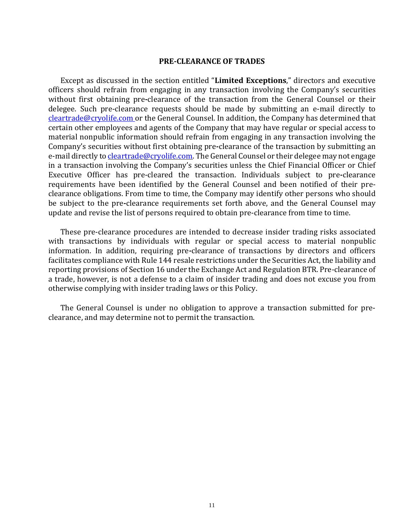#### **PRE-CLEARANCE OF TRADES**

<span id="page-14-0"></span>Except as discussed in the section entitled "**Limited Exceptions**," directors and executive officers should refrain from engaging in any transaction involving the Company's securities without first obtaining pre**-**clearance of the transaction from the General Counsel or their delegee. Such pre-clearance requests should be made by submitting an e-mail directly to [cleartrade@cryolife.com](mailto:cleartrade@cryolife.com) or the General Counsel. In addition, the Company has determined that certain other employees and agents of the Company that may have regular or special access to material nonpublic information should refrain from engaging in any transaction involving the Company's securities without first obtaining pre**-**clearance of the transaction by submitting an e-mail directly t[o cleartrade@cryolife.com.](mailto:cleartrade@cryolife.com) The General Counsel or their delegee may not engage in a transaction involving the Company's securities unless the Chief Financial Officer or Chief Executive Officer has pre-cleared the transaction. Individuals subject to pre**-**clearance requirements have been identified by the General Counsel and been notified of their preclearance obligations. From time to time, the Company may identify other persons who should be subject to the pre**-**clearance requirements set forth above, and the General Counsel may update and revise the list of persons required to obtain pre-clearance from time to time.

These pre-clearance procedures are intended to decrease insider trading risks associated with transactions by individuals with regular or special access to material nonpublic information. In addition, requiring pre*-*clearance of transactions by directors and officers facilitates compliance with Rule 144 resale restrictions under the Securities Act, the liability and reporting provisions of Section 16 under the Exchange Act and Regulation BTR. Pre-clearance of a trade, however, is not a defense to a claim of insider trading and does not excuse you from otherwise complying with insider trading laws or this Policy.

The General Counsel is under no obligation to approve a transaction submitted for preclearance, and may determine not to permit the transaction.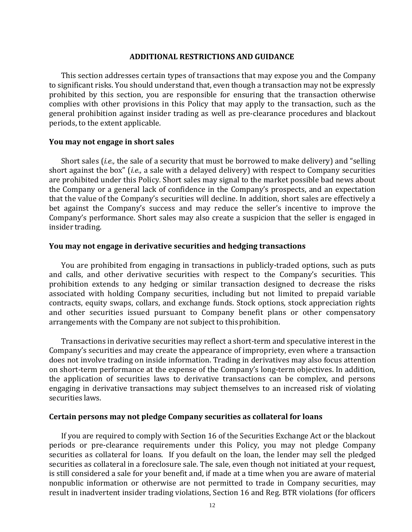#### **ADDITIONAL RESTRICTIONS AND GUIDANCE**

<span id="page-15-0"></span>This section addresses certain types of transactions that may expose you and the Company to significant risks. You should understand that, even though a transaction may not be expressly prohibited by this section, you are responsible for ensuring that the transaction otherwise complies with other provisions in this Policy that may apply to the transaction, such as the general prohibition against insider trading as well as pre-clearance procedures and blackout periods, to the extent applicable.

#### <span id="page-15-1"></span>**You may not engage in short sales**

Short sales (*i.e.,* the sale of a security that must be borrowed to make delivery) and "selling short against the box" (*i.e.,* a sale with a delayed delivery) with respect to Company securities are prohibited under this Policy. Short sales may signal to the market possible bad news about the Company or a general lack of confidence in the Company's prospects, and an expectation that the value of the Company's securities will decline. In addition, short sales are effectively a bet against the Company's success and may reduce the seller's incentive to improve the Company's performance. Short sales may also create a suspicion that the seller is engaged in insider trading.

#### **You may not engage in derivative securities and hedging transactions**

You are prohibited from engaging in transactions in publicly-traded options, such as puts and calls, and other derivative securities with respect to the Company's securities. This prohibition extends to any hedging or similar transaction designed to decrease the risks associated with holding Company securities, including but not limited to prepaid variable contracts, equity swaps, collars, and exchange funds. Stock options, stock appreciation rights and other securities issued pursuant to Company benefit plans or other compensatory arrangements with the Company are not subject to thisprohibition.

Transactions in derivative securities may reflect a short*-*term and speculative interest in the Company's securities and may create the appearance of impropriety, even where a transaction does not involve trading on inside information. Trading in derivatives may also focus attention on short-term performance at the expense of the Company's long-term objectives. In addition, the application of securities laws to derivative transactions can be complex, and persons engaging in derivative transactions may subject themselves to an increased risk of violating securities laws.

#### **Certain persons may not pledge Company securities as collateral for loans**

If you are required to comply with Section 16 of the Securities Exchange Act or the blackout periods or pre-clearance requirements under this Policy, you may not pledge Company securities as collateral for loans. If you default on the loan, the lender may sell the pledged securities as collateral in a foreclosure sale. The sale, even though not initiated at your request, is still considered a sale for your benefit and, if made at a time when you are aware of material nonpublic information or otherwise are not permitted to trade in Company securities, may result in inadvertent insider trading violations, Section 16 and Reg. BTR violations (for officers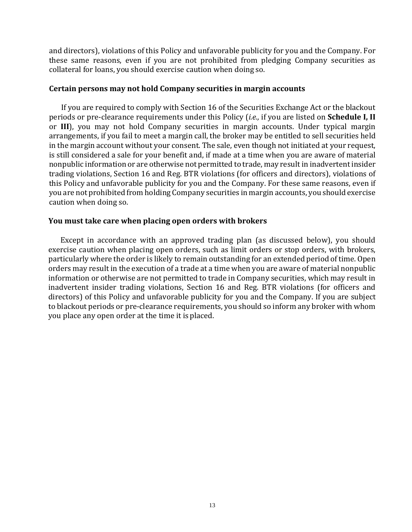and directors), violations of this Policy and unfavorable publicity for you and the Company. For these same reasons, even if you are not prohibited from pledging Company securities as collateral for loans, you should exercise caution when doing so.

### **Certain persons may not hold Company securities in margin accounts**

If you are required to comply with Section 16 of the Securities Exchange Act or the blackout periods or pre-clearance requirements under this Policy (*i.e.,* if you are listed on **Schedule I, II**  or **III**), you may not hold Company securities in margin accounts. Under typical margin arrangements, if you fail to meet a margin call, the broker may be entitled to sell securities held in the margin account without your consent. The sale, even though not initiated at your request, is still considered a sale for your benefit and, if made at a time when you are aware of material nonpublic information or are otherwise not permitted to trade, may result in inadvertent insider trading violations, Section 16 and Reg. BTR violations (for officers and directors), violations of this Policy and unfavorable publicity for you and the Company. For these same reasons, even if you are not prohibited from holding Company securities in margin accounts, you should exercise caution when doing so.

### **You must take care when placing open orders with brokers**

Except in accordance with an approved trading plan (as discussed below), you should exercise caution when placing open orders, such as limit orders or stop orders, with brokers, particularly where the order is likely to remain outstanding for an extended period of time. Open orders may result in the execution of a trade at a time when you are aware of material nonpublic information or otherwise are not permitted to trade in Company securities, which may result in inadvertent insider trading violations, Section 16 and Reg. BTR violations (for officers and directors) of this Policy and unfavorable publicity for you and the Company. If you are subject to blackout periods or pre-clearance requirements, you should so inform any broker with whom you place any open order at the time it is placed.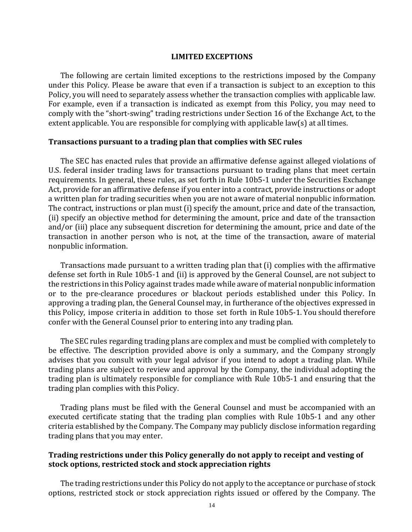#### **LIMITED EXCEPTIONS**

<span id="page-17-0"></span>The following are certain limited exceptions to the restrictions imposed by the Company under this Policy. Please be aware that even if a transaction is subject to an exception to this Policy, you will need to separately assess whether the transaction complies with applicable law. For example, even if a transaction is indicated as exempt from this Policy, you may need to comply with the "short-swing" trading restrictions under Section 16 of the Exchange Act, to the extent applicable. You are responsible for complying with applicable law(s) at all times.

#### <span id="page-17-1"></span>**Transactions pursuant to a trading plan that complies with SEC rules**

The SEC has enacted rules that provide an affirmative defense against alleged violations of U.S. federal insider trading laws for transactions pursuant to trading plans that meet certain requirements. In general, these rules, as set forth in Rule 10b5-1 under the Securities Exchange Act, provide for an affirmative defense if you enter into a contract, provide instructions or adopt a written plan for trading securities when you are not aware of material nonpublic information. The contract, instructions or plan must (i) specify the amount, price and date of the transaction, (ii) specify an objective method for determining the amount, price and date of the transaction and/or (iii) place any subsequent discretion for determining the amount, price and date of the transaction in another person who is not, at the time of the transaction, aware of material nonpublic information.

Transactions made pursuant to a written trading plan that (i) complies with the affirmative defense set forth in Rule 10b5-1 and (ii) is approved by the General Counsel, are not subject to the restrictions in this Policy against trades made while aware of material nonpublic information or to the pre-clearance procedures or blackout periods established under this Policy. In approving a trading plan, the General Counsel may, in furtherance of the objectives expressed in this Policy, impose criteria in addition to those set forth in Rule 10b5-1. You should therefore confer with the General Counsel prior to entering into any trading plan.

The SEC rules regarding trading plans are complex and must be complied with completely to be effective. The description provided above is only a summary, and the Company strongly advises that you consult with your legal advisor if you intend to adopt a trading plan. While trading plans are subject to review and approval by the Company, the individual adopting the trading plan is ultimately responsible for compliance with Rule 10b5-1 and ensuring that the trading plan complies with thisPolicy.

Trading plans must be filed with the General Counsel and must be accompanied with an executed certificate stating that the trading plan complies with Rule 10b5-1 and any other criteria established by the Company. The Company may publicly disclose information regarding trading plans that you may enter.

# **Trading restrictions under this Policy generally do not apply to receipt and vesting of stock options, restricted stock and stock appreciation rights**

The trading restrictions under this Policy do not apply to the acceptance or purchase of stock options, restricted stock or stock appreciation rights issued or offered by the Company. The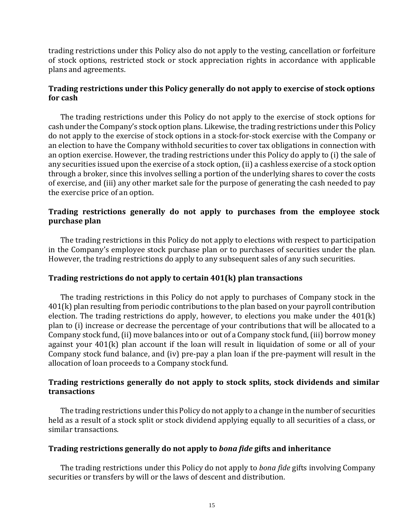trading restrictions under this Policy also do not apply to the vesting, cancellation or forfeiture of stock options, restricted stock or stock appreciation rights in accordance with applicable plans and agreements.

# **Trading restrictions under this Policy generally do not apply to exercise of stock options for cash**

The trading restrictions under this Policy do not apply to the exercise of stock options for cash under the Company's stock option plans. Likewise, the trading restrictions under this Policy do not apply to the exercise of stock options in a stock-for-stock exercise with the Company or an election to have the Company withhold securities to cover tax obligations in connection with an option exercise. However, the trading restrictions under this Policy do apply to (i) the sale of any securities issued upon the exercise of a stock option, (ii) a cashless exercise of a stock option through a broker, since this involves selling a portion of the underlying shares to cover the costs of exercise, and (iii) any other market sale for the purpose of generating the cash needed to pay the exercise price of an option.

# <span id="page-18-0"></span>**Trading restrictions generally do not apply to purchases from the employee stock purchase plan**

The trading restrictions in this Policy do not apply to elections with respect to participation in the Company's employee stock purchase plan or to purchases of securities under the plan. However, the trading restrictions do apply to any subsequent sales of any such securities.

### **Trading restrictions do not apply to certain 401(k) plan transactions**

The trading restrictions in this Policy do not apply to purchases of Company stock in the 401(k) plan resulting from periodic contributions to the plan based on your payroll contribution election. The trading restrictions do apply, however, to elections you make under the 401(k) plan to (i) increase or decrease the percentage of your contributions that will be allocated to a Company stock fund, (ii) move balances into or out of a Company stock fund, (iii) borrow money against your 401(k) plan account if the loan will result in liquidation of some or all of your Company stock fund balance, and (iv) pre-pay a plan loan if the pre-payment will result in the allocation of loan proceeds to a Company stock fund.

# **Trading restrictions generally do not apply to stock splits, stock dividends and similar transactions**

The trading restrictions under this Policy do not apply to a change in the number of securities held as a result of a stock split or stock dividend applying equally to all securities of a class, or similar transactions.

### **Trading restrictions generally do not apply to** *bona fide* **gifts and inheritance**

The trading restrictions under this Policy do not apply to *bona fide* gifts involving Company securities or transfers by will or the laws of descent and distribution.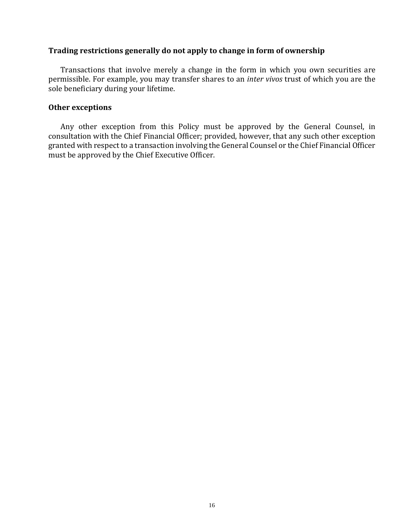### **Trading restrictions generally do not apply to change in form of ownership**

Transactions that involve merely a change in the form in which you own securities are permissible. For example, you may transfer shares to an *inter vivos* trust of which you are the sole beneficiary during your lifetime.

### **Other exceptions**

Any other exception from this Policy must be approved by the General Counsel, in consultation with the Chief Financial Officer; provided, however, that any such other exception granted with respect to a transaction involving the General Counsel or the Chief Financial Officer must be approved by the Chief Executive Officer.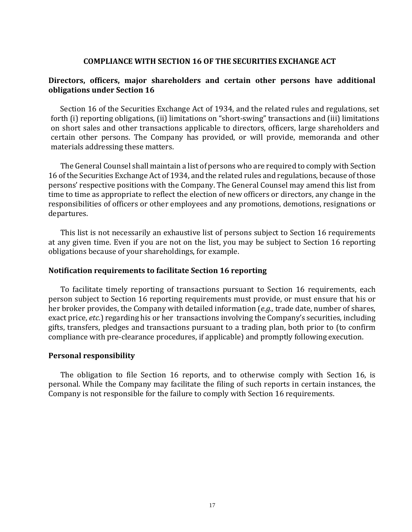### **COMPLIANCE WITH SECTION 16 OF THE SECURITIES EXCHANGE ACT**

# **Directors, officers, major shareholders and certain other persons have additional obligations under Section 16**

Section 16 of the Securities Exchange Act of 1934, and the related rules and regulations, set forth (i) reporting obligations, (ii) limitations on "short-swing" transactions and (iii) limitations on short sales and other transactions applicable to directors, officers, large shareholders and certain other persons. The Company has provided, or will provide, memoranda and other materials addressing these matters.

The General Counsel shall maintain a list of persons who are required to comply with Section 16 of the Securities Exchange Act of 1934, and the related rules and regulations, because of those persons' respective positions with the Company. The General Counsel may amend this list from time to time as appropriate to reflect the election of new officers or directors, any change in the responsibilities of officers or other employees and any promotions, demotions, resignations or departures.

This list is not necessarily an exhaustive list of persons subject to Section 16 requirements at any given time. Even if you are not on the list, you may be subject to Section 16 reporting obligations because of your shareholdings, for example.

### **Notification requirements to facilitate Section 16 reporting**

To facilitate timely reporting of transactions pursuant to Section 16 requirements, each person subject to Section 16 reporting requirements must provide, or must ensure that his or her broker provides, the Company with detailed information (*e.g.,* trade date, number of shares, exact price, *etc.*) regarding his or her transactions involving the Company's securities, including gifts, transfers, pledges and transactions pursuant to a trading plan, both prior to (to confirm compliance with pre-clearance procedures, if applicable) and promptly following execution.

### **Personal responsibility**

The obligation to file Section 16 reports, and to otherwise comply with Section 16, is personal. While the Company may facilitate the filing of such reports in certain instances, the Company is not responsible for the failure to comply with Section 16 requirements.